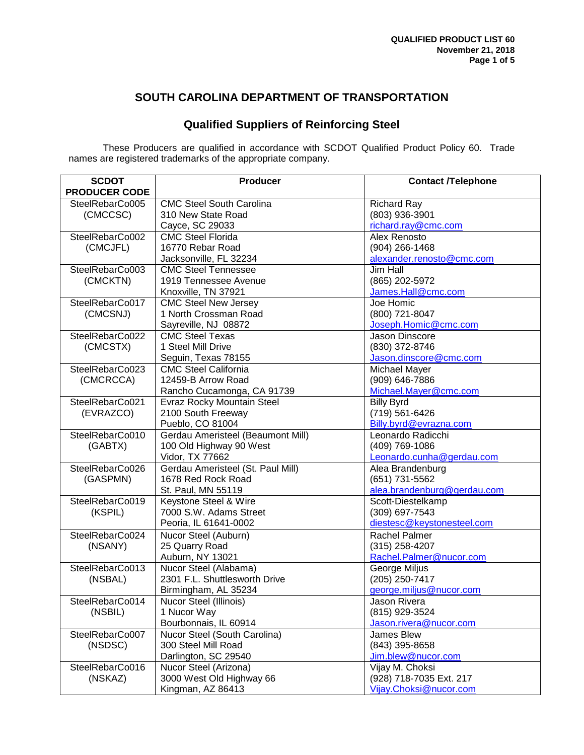### **SOUTH CAROLINA DEPARTMENT OF TRANSPORTATION**

# **Qualified Suppliers of Reinforcing Steel**

These Producers are qualified in accordance with SCDOT Qualified Product Policy 60. Trade names are registered trademarks of the appropriate company.

| <b>SCDOT</b>         | <b>Producer</b>                                      | <b>Contact /Telephone</b>              |
|----------------------|------------------------------------------------------|----------------------------------------|
| <b>PRODUCER CODE</b> |                                                      |                                        |
| SteelRebarCo005      | <b>CMC Steel South Carolina</b>                      | <b>Richard Ray</b>                     |
| (CMCCSC)             | 310 New State Road                                   | (803) 936-3901                         |
|                      | Cayce, SC 29033                                      | richard.ray@cmc.com                    |
| SteelRebarCo002      | <b>CMC Steel Florida</b>                             | Alex Renosto                           |
| (CMCJFL)             | 16770 Rebar Road                                     | $(904)$ 266-1468                       |
|                      | Jacksonville, FL 32234                               | alexander.renosto@cmc.com              |
| SteelRebarCo003      | <b>CMC Steel Tennessee</b>                           | <b>Jim Hall</b>                        |
| (CMCKTN)             | 1919 Tennessee Avenue                                | (865) 202-5972                         |
|                      | Knoxville, TN 37921                                  | James.Hall@cmc.com<br>Joe Homic        |
| SteelRebarCo017      | <b>CMC Steel New Jersey</b><br>1 North Crossman Road | (800) 721-8047                         |
| (CMCSNJ)             |                                                      |                                        |
| SteelRebarCo022      | Sayreville, NJ 08872<br><b>CMC Steel Texas</b>       | Joseph.Homic@cmc.com<br>Jason Dinscore |
|                      | 1 Steel Mill Drive                                   | (830) 372-8746                         |
| (CMCSTX)             | Seguin, Texas 78155                                  | Jason.dinscore@cmc.com                 |
| SteelRebarCo023      | <b>CMC Steel California</b>                          | Michael Mayer                          |
| (CMCRCCA)            | 12459-B Arrow Road                                   | (909) 646-7886                         |
|                      | Rancho Cucamonga, CA 91739                           | Michael.Mayer@cmc.com                  |
| SteelRebarCo021      | Evraz Rocky Mountain Steel                           | <b>Billy Byrd</b>                      |
| (EVRAZCO)            | 2100 South Freeway                                   | (719) 561-6426                         |
|                      | Pueblo, CO 81004                                     | Billy.byrd@evrazna.com                 |
| SteelRebarCo010      | Gerdau Ameristeel (Beaumont Mill)                    | Leonardo Radicchi                      |
| (GABTX)              | 100 Old Highway 90 West                              | (409) 769-1086                         |
|                      | Vidor, TX 77662                                      | Leonardo.cunha@gerdau.com              |
| SteelRebarCo026      | Gerdau Ameristeel (St. Paul Mill)                    | Alea Brandenburg                       |
| (GASPMN)             | 1678 Red Rock Road                                   | (651) 731-5562                         |
|                      | St. Paul, MN 55119                                   | alea.brandenburg@gerdau.com            |
| SteelRebarCo019      | Keystone Steel & Wire                                | Scott-Diestelkamp                      |
| (KSPIL)              | 7000 S.W. Adams Street                               | (309) 697-7543                         |
|                      | Peoria, IL 61641-0002                                | diestesc@keystonesteel.com             |
| SteelRebarCo024      | Nucor Steel (Auburn)                                 | Rachel Palmer                          |
| (NSANY)              | 25 Quarry Road                                       | $(315)$ 258-4207                       |
|                      | Auburn, NY 13021                                     | Rachel.Palmer@nucor.com                |
| SteelRebarCo013      | Nucor Steel (Alabama)                                | George Miljus                          |
| (NSBAL)              | 2301 F.L. Shuttlesworth Drive                        | $(205)$ 250-7417                       |
|                      | Birmingham, AL 35234                                 | george.miljus@nucor.com                |
| SteelRebarCo014      | Nucor Steel (Illinois)                               | Jason Rivera                           |
| (NSBIL)              | 1 Nucor Way                                          | (815) 929-3524                         |
|                      | Bourbonnais, IL 60914                                | Jason.rivera@nucor.com                 |
| SteelRebarCo007      | Nucor Steel (South Carolina)                         | James Blew                             |
| (NSDSC)              | 300 Steel Mill Road                                  | (843) 395-8658                         |
|                      | Darlington, SC 29540                                 | Jim.blew@nucor.com                     |
| SteelRebarCo016      | Nucor Steel (Arizona)                                | Vijay M. Choksi                        |
| (NSKAZ)              | 3000 West Old Highway 66                             | (928) 718-7035 Ext. 217                |
|                      | Kingman, AZ 86413                                    | Vijay.Choksi@nucor.com                 |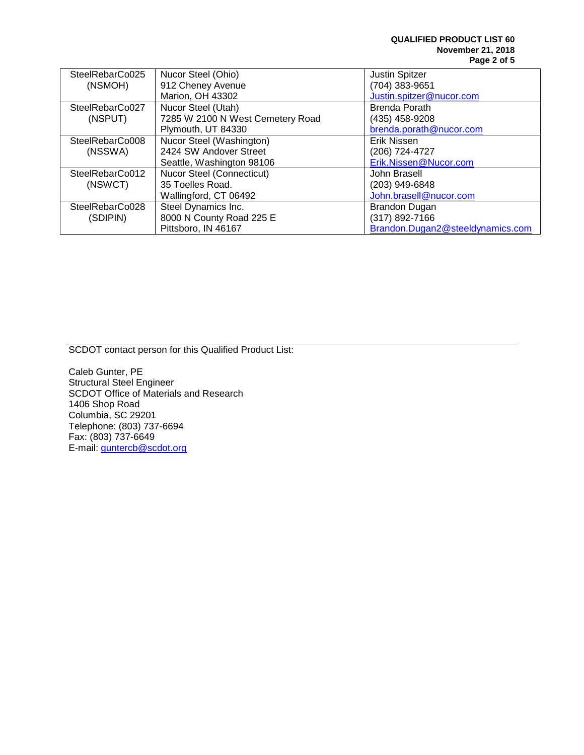| SteelRebarCo025 | Nucor Steel (Ohio)               | <b>Justin Spitzer</b>            |
|-----------------|----------------------------------|----------------------------------|
| (NSMOH)         | 912 Cheney Avenue                | (704) 383-9651                   |
|                 | Marion, OH 43302                 | Justin.spitzer@nucor.com         |
| SteelRebarCo027 | Nucor Steel (Utah)               | Brenda Porath                    |
| (NSPUT)         | 7285 W 2100 N West Cemetery Road | (435) 458-9208                   |
|                 | Plymouth, UT 84330               | brenda.porath@nucor.com          |
| SteelRebarCo008 | Nucor Steel (Washington)         | Erik Nissen                      |
| (NSSWA)         | 2424 SW Andover Street           | (206) 724-4727                   |
|                 | Seattle, Washington 98106        | Erik.Nissen@Nucor.com            |
| SteelRebarCo012 | Nucor Steel (Connecticut)        | John Brasell                     |
| (NSWCT)         | 35 Toelles Road.                 | (203) 949-6848                   |
|                 | Wallingford, CT 06492            | John.brasell@nucor.com           |
| SteelRebarCo028 | Steel Dynamics Inc.              | <b>Brandon Dugan</b>             |
| (SDIPIN)        | 8000 N County Road 225 E         | (317) 892-7166                   |
|                 | Pittsboro, IN 46167              | Brandon.Dugan2@steeldynamics.com |

SCDOT contact person for this Qualified Product List:

Caleb Gunter, PE Structural Steel Engineer SCDOT Office of Materials and Research 1406 Shop Road Columbia, SC 29201 Telephone: (803) 737-6694 Fax: (803) 737-6649 E-mail: <u>guntercb@scdot.org</u>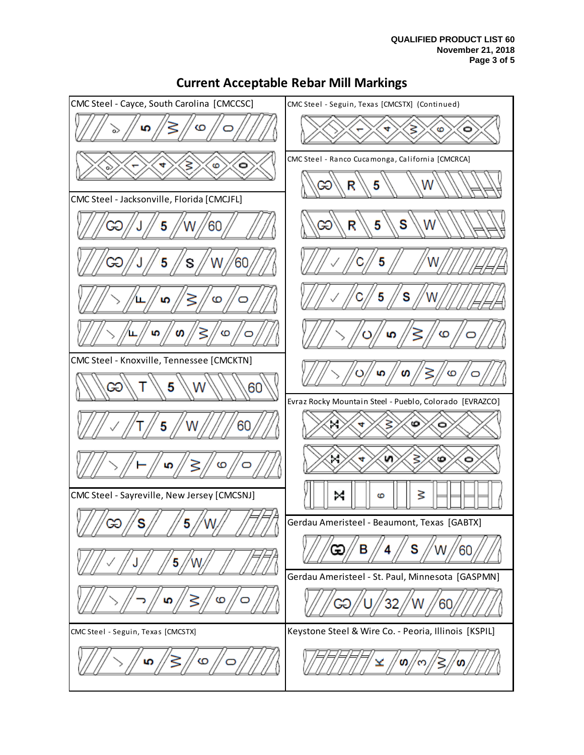

## **Current Acceptable Rebar Mill Markings**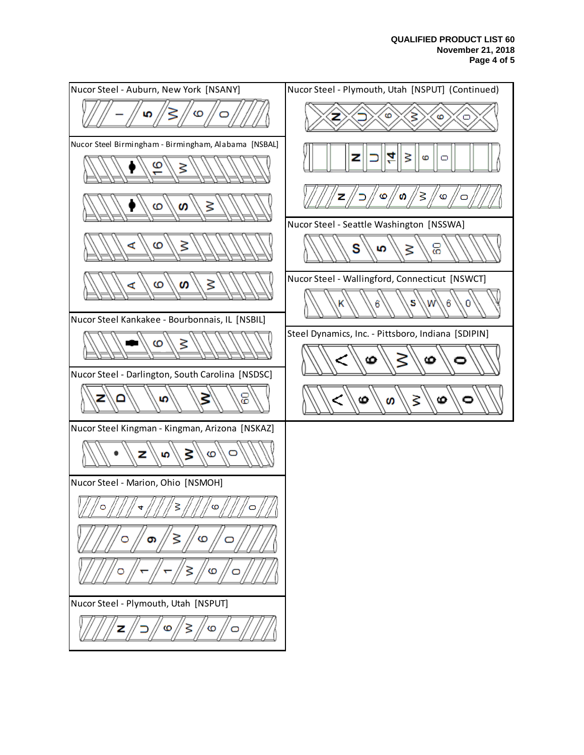#### **QUALIFIED PRODUCT LIST 60 November 21, 2018 Page 4 of 5**